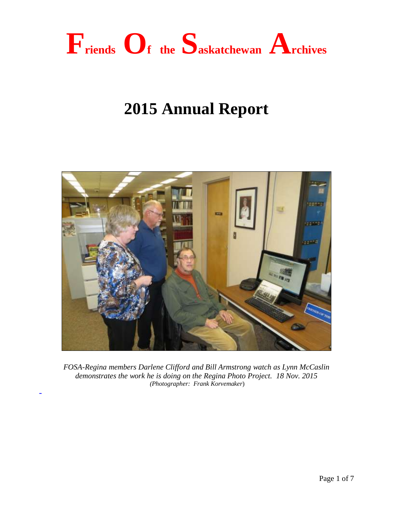

# **2015 Annual Report**



*FOSA-Regina members Darlene Clifford and Bill Armstrong watch as Lynn McCaslin demonstrates the work he is doing on the Regina Photo Project. 18 Nov. 2015 (Photographer: Frank Korvemaker*)

-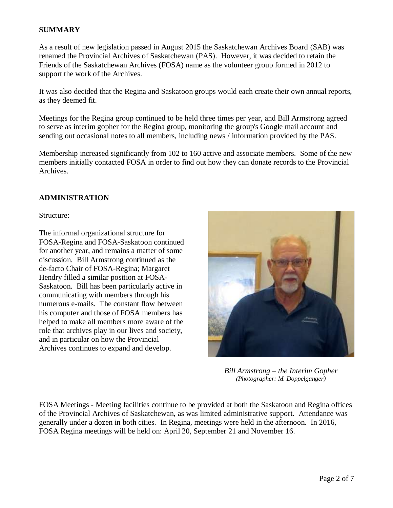## **SUMMARY**

As a result of new legislation passed in August 2015 the Saskatchewan Archives Board (SAB) was renamed the Provincial Archives of Saskatchewan (PAS). However, it was decided to retain the Friends of the Saskatchewan Archives (FOSA) name as the volunteer group formed in 2012 to support the work of the Archives.

It was also decided that the Regina and Saskatoon groups would each create their own annual reports, as they deemed fit.

Meetings for the Regina group continued to be held three times per year, and Bill Armstrong agreed to serve as interim gopher for the Regina group, monitoring the group's Google mail account and sending out occasional notes to all members, including news / information provided by the PAS.

Membership increased significantly from 102 to 160 active and associate members. Some of the new members initially contacted FOSA in order to find out how they can donate records to the Provincial Archives.

### **ADMINISTRATION**

Structure:

The informal organizational structure for FOSA-Regina and FOSA-Saskatoon continued for another year, and remains a matter of some discussion. Bill Armstrong continued as the de-facto Chair of FOSA-Regina; Margaret Hendry filled a similar position at FOSA-Saskatoon. Bill has been particularly active in communicating with members through his numerous e-mails. The constant flow between his computer and those of FOSA members has helped to make all members more aware of the role that archives play in our lives and society, and in particular on how the Provincial Archives continues to expand and develop.



*Bill Armstrong – the Interim Gopher (Photographer: M. Doppelganger)*

FOSA Meetings - Meeting facilities continue to be provided at both the Saskatoon and Regina offices of the Provincial Archives of Saskatchewan, as was limited administrative support. Attendance was generally under a dozen in both cities. In Regina, meetings were held in the afternoon. In 2016, FOSA Regina meetings will be held on: April 20, September 21 and November 16.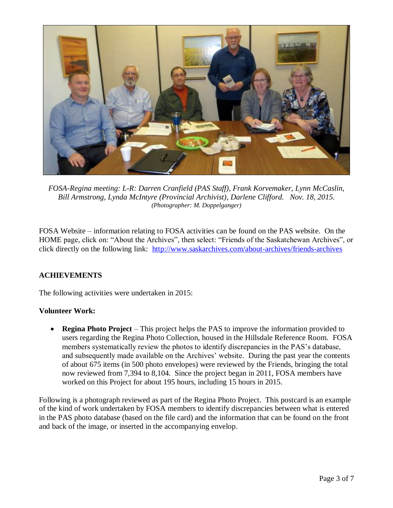

*FOSA-Regina meeting: L-R: Darren Cranfield (PAS Staff), Frank Korvemaker, Lynn McCaslin, Bill Armstrong, Lynda McIntyre (Provincial Archivist), Darlene Clifford. Nov. 18, 2015. (Photographer: M. Doppelganger)*

FOSA Website – information relating to FOSA activities can be found on the PAS website. On the HOME page, click on: "About the Archives", then select: "Friends of the Saskatchewan Archives", or click directly on the following link: <http://www.saskarchives.com/about-archives/friends-archives>

## **ACHIEVEMENTS**

The following activities were undertaken in 2015:

## **Volunteer Work:**

 **Regina Photo Project** – This project helps the PAS to improve the information provided to users regarding the Regina Photo Collection, housed in the Hillsdale Reference Room. FOSA members systematically review the photos to identify discrepancies in the PAS's database, and subsequently made available on the Archives' website. During the past year the contents of about 675 items (in 500 photo envelopes) were reviewed by the Friends, bringing the total now reviewed from 7,394 to 8,104. Since the project began in 2011, FOSA members have worked on this Project for about 195 hours, including 15 hours in 2015.

Following is a photograph reviewed as part of the Regina Photo Project. This postcard is an example of the kind of work undertaken by FOSA members to identify discrepancies between what is entered in the PAS photo database (based on the file card) and the information that can be found on the front and back of the image, or inserted in the accompanying envelop.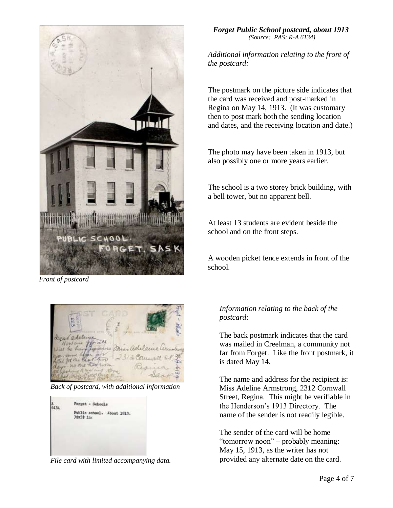

*Front of postcard* 



*Back of postcard, with additional information*



*File card with limited accompanying data.*

*Forget Public School postcard, about 1913 (Source: PAS: R-A 6134)*

*Additional information relating to the front of the postcard:*

The postmark on the picture side indicates that the card was received and post-marked in Regina on May 14, 1913. (It was customary then to post mark both the sending location and dates, and the receiving location and date.)

The photo may have been taken in 1913, but also possibly one or more years earlier.

The school is a two storey brick building, with a bell tower, but no apparent bell.

At least 13 students are evident beside the school and on the front steps.

A wooden picket fence extends in front of the school.

# *Information relating to the back of the postcard:*

The back postmark indicates that the card was mailed in Creelman, a community not far from Forget. Like the front postmark, it is dated May 14.

The name and address for the recipient is: Miss Adeline Armstrong, 2312 Cornwall Street, Regina. This might be verifiable in the Henderson's 1913 Directory. The name of the sender is not readily legible.

The sender of the card will be home "tomorrow noon" – probably meaning: May 15, 1913, as the writer has not provided any alternate date on the card.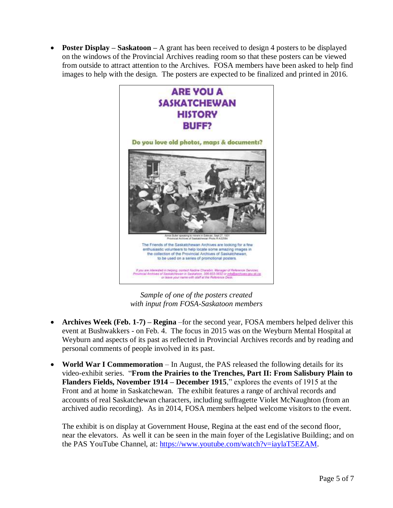**Poster Display – Saskatoon –** A grant has been received to design 4 posters to be displayed on the windows of the Provincial Archives reading room so that these posters can be viewed from outside to attract attention to the Archives. FOSA members have been asked to help find images to help with the design. The posters are expected to be finalized and printed in 2016.



*Sample of one of the posters created with input from FOSA-Saskatoon members*

- **Archives Week (Feb. 1-7) – Regina** –for the second year, FOSA members helped deliver this event at Bushwakkers - on Feb. 4. The focus in 2015 was on the Weyburn Mental Hospital at Weyburn and aspects of its past as reflected in Provincial Archives records and by reading and personal comments of people involved in its past.
- **World War I Commemoration**  In August, the PAS released the following details for its video-exhibit series. "**From the Prairies to the Trenches, Part II: From Salisbury Plain to Flanders Fields, November 1914 – December 1915**," explores the events of 1915 at the Front and at home in Saskatchewan. The exhibit features a range of archival records and accounts of real Saskatchewan characters, including suffragette Violet McNaughton (from an archived audio recording). As in 2014, FOSA members helped welcome visitors to the event.

The exhibit is on display at Government House, Regina at the east end of the second floor, near the elevators. As well it can be seen in the main foyer of the Legislative Building; and on the PAS YouTube Channel, at: [https://www.youtube.com/watch?v=iaylaT5EZAM.](https://www.youtube.com/watch?v=iaylaT5EZAM)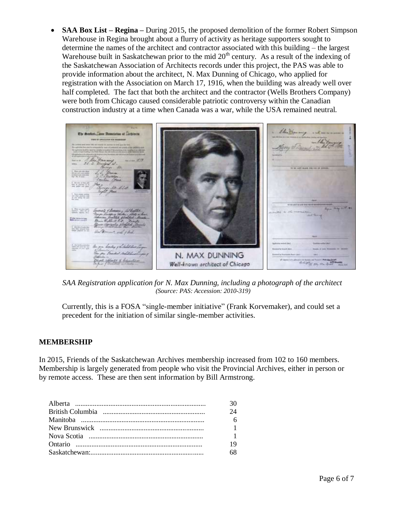**SAA Box List – Regina –** During 2015, the proposed demolition of the former Robert Simpson Warehouse in Regina brought about a flurry of activity as heritage supporters sought to determine the names of the architect and contractor associated with this building – the largest Warehouse built in Saskatchewan prior to the mid  $20<sup>th</sup>$  century. As a result of the indexing of the Saskatchewan Association of Architects records under this project, the PAS was able to provide information about the architect, N. Max Dunning of Chicago, who applied for registration with the Association on March 17, 1916, when the building was already well over half completed. The fact that both the architect and the contractor (Wells Brothers Company) were both from Chicago caused considerable patriotic controversy within the Canadian construction industry at a time when Canada was a war, while the USA remained neutral.



*SAA Registration application for N. Max Dunning, including a photograph of the architect (Source: PAS: Accession: 2010-319)*

Currently, this is a FOSA "single-member initiative" (Frank Korvemaker), and could set a precedent for the initiation of similar single-member activities.

## **MEMBERSHIP**

In 2015, Friends of the Saskatchewan Archives membership increased from 102 to 160 members. Membership is largely generated from people who visit the Provincial Archives, either in person or by remote access. These are then sent information by Bill Armstrong.

| 30             |
|----------------|
| 24             |
| 6              |
| $\overline{1}$ |
| $\overline{1}$ |
| 19             |
| 68             |
|                |